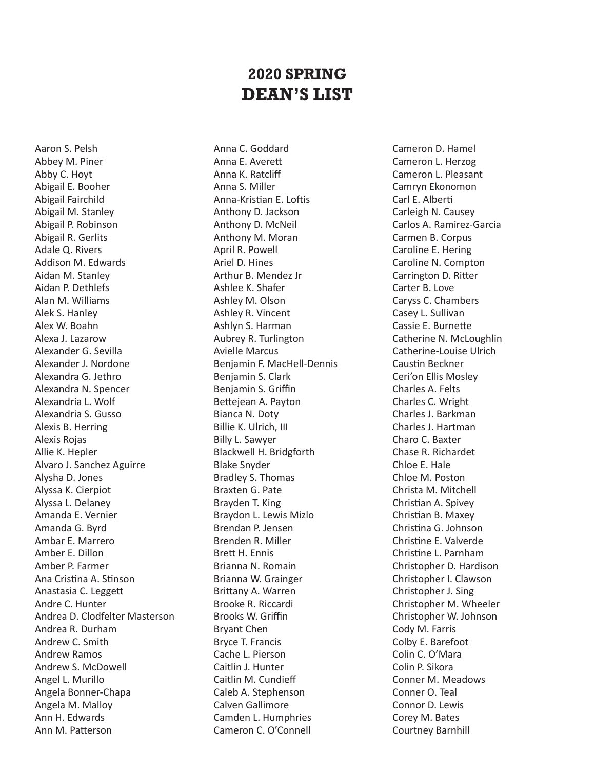## **2020 SPRING DEAN'S LIST**

Aaron S. Pelsh Abbey M. Piner Abby C. Hoyt Abigail E. Booher Abigail Fairchild Abigail M. Stanley Abigail P. Robinson Abigail R. Gerlits Adale Q. Rivers Addison M. Edwards Aidan M. Stanley Aidan P. Dethlefs Alan M. Williams Alek S. Hanley Alex W. Boahn Alexa J. Lazarow Alexander G. Sevilla Alexander J. Nordone Alexandra G. Jethro Alexandra N. Spencer Alexandria L. Wolf Alexandria S. Gusso Alexis B. Herring Alexis Rojas Allie K. Hepler Alvaro J. Sanchez Aguirre Alysha D. Jones Alyssa K. Cierpiot Alyssa L. Delaney Amanda E. Vernier Amanda G. Byrd Ambar E. Marrero Amber E. Dillon Amber P. Farmer Ana Cristina A. Stinson Anastasia C. Leggett Andre C. Hunter Andrea D. Clodfelter Masterson Andrea R. Durham Andrew C. Smith Andrew Ramos Andrew S. McDowell Angel L. Murillo Angela Bonner-Chapa Angela M. Malloy Ann H. Edwards Ann M. Patterson

Anna C. Goddard Anna E. Averett Anna K. Ratcliff Anna S. Miller Anna-Kristian E. Loftis Anthony D. Jackson Anthony D. McNeil Anthony M. Moran April R. Powell Ariel D. Hines Arthur B. Mendez Jr Ashlee K. Shafer Ashley M. Olson Ashley R. Vincent Ashlyn S. Harman Aubrey R. Turlington Avielle Marcus Benjamin F. MacHell-Dennis Benjamin S. Clark Benjamin S. Griffin Bettejean A. Payton Bianca N. Doty Billie K. Ulrich, III Billy L. Sawyer Blackwell H. Bridgforth Blake Snyder Bradley S. Thomas Braxten G. Pate Brayden T. King Braydon L. Lewis Mizlo Brendan P. Jensen Brenden R. Miller Brett H. Ennis Brianna N. Romain Brianna W. Grainger Brittany A. Warren Brooke R. Riccardi Brooks W. Griffin Bryant Chen Bryce T. Francis Cache L. Pierson Caitlin J. Hunter Caitlin M. Cundieff Caleb A. Stephenson Calven Gallimore Camden L. Humphries Cameron C. O'Connell

Cameron D. Hamel Cameron L. Herzog Cameron L. Pleasant Camryn Ekonomon Carl E. Alberti Carleigh N. Causey Carlos A. Ramirez-Garcia Carmen B. Corpus Caroline E. Hering Caroline N. Compton Carrington D. Ritter Carter B. Love Caryss C. Chambers Casey L. Sullivan Cassie E. Burnette Catherine N. McLoughlin Catherine-Louise Ulrich Caustin Beckner Ceri'on Ellis Mosley Charles A. Felts Charles C. Wright Charles J. Barkman Charles J. Hartman Charo C. Baxter Chase R. Richardet Chloe E. Hale Chloe M. Poston Christa M. Mitchell Christian A. Spivey Christian B. Maxey Christina G. Johnson Christine E. Valverde Christine L. Parnham Christopher D. Hardison Christopher I. Clawson Christopher J. Sing Christopher M. Wheeler Christopher W. Johnson Cody M. Farris Colby E. Barefoot Colin C. O'Mara Colin P. Sikora Conner M. Meadows Conner O. Teal Connor D. Lewis Corey M. Bates Courtney Barnhill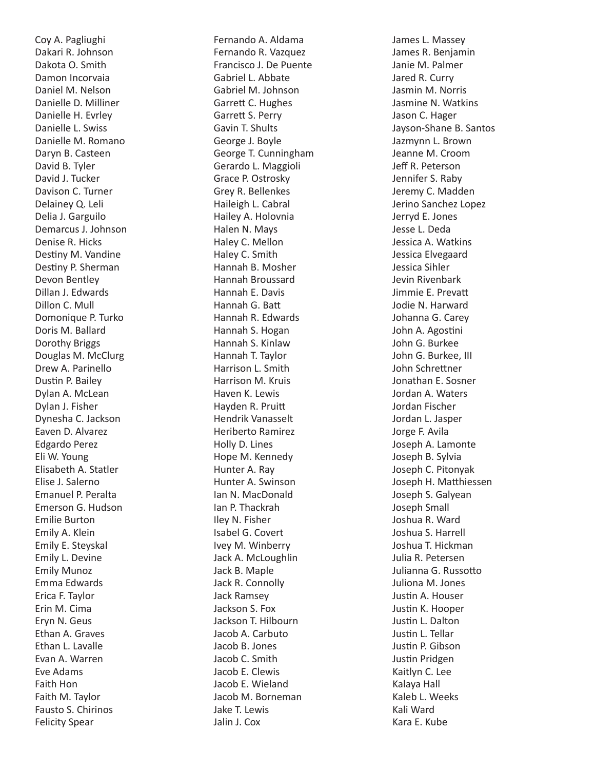Coy A. Pagliughi Dakari R. Johnson Dakota O. Smith Damon Incorvaia Daniel M. Nelson Danielle D. Milliner Danielle H. Evrley Danielle L. Swiss Danielle M. Romano Daryn B. Casteen David B. Tyler David J. Tucker Davison C. Turner Delainey Q. Leli Delia J. Garguilo Demarcus J. Johnson Denise R. Hicks Destiny M. Vandine Destiny P. Sherman Devon Bentley Dillan J. Edwards Dillon C. Mull Domonique P. Turko Doris M. Ballard Dorothy Briggs Douglas M. McClurg Drew A. Parinello Dustin P. Bailey Dylan A. McLean Dylan J. Fisher Dynesha C. Jackson Eaven D. Alvarez Edgardo Perez Eli W. Young Elisabeth A. Statler Elise J. Salerno Emanuel P. Peralta Emerson G. Hudson Emilie Burton Emily A. Klein Emily E. Steyskal Emily L. Devine Emily Munoz Emma Edwards Erica F. Taylor Erin M. Cima Eryn N. Geus Ethan A. Graves Ethan L. Lavalle Evan A. Warren Eve Adams Faith Hon Faith M. Taylor Fausto S. Chirinos Felicity Spear

Fernando A. Aldama Fernando R. Vazquez Francisco J. De Puente Gabriel L. Abbate Gabriel M. Johnson Garrett C. Hughes Garrett S. Perry Gavin T. Shults George J. Boyle George T. Cunningham Gerardo L. Maggioli Grace P. Ostrosky Grey R. Bellenkes Haileigh L. Cabral Hailey A. Holovnia Halen N. Mays Haley C. Mellon Haley C. Smith Hannah B. Mosher Hannah Broussard Hannah E. Davis Hannah G. Batt Hannah R. Edwards Hannah S. Hogan Hannah S. Kinlaw Hannah T. Taylor Harrison L. Smith Harrison M. Kruis Haven K. Lewis Hayden R. Pruitt Hendrik Vanasselt Heriberto Ramirez Holly D. Lines Hope M. Kennedy Hunter A. Ray Hunter A. Swinson Ian N. MacDonald Ian P. Thackrah Iley N. Fisher Isabel G. Covert Ivey M. Winberry Jack A. McLoughlin Jack B. Maple Jack R. Connolly Jack Ramsey Jackson S. Fox Jackson T. Hilbourn Jacob A. Carbuto Jacob B. Jones Jacob C. Smith Jacob E. Clewis Jacob E. Wieland Jacob M. Borneman Jake T. Lewis Jalin J. Cox

James L. Massey James R. Benjamin Janie M. Palmer Jared R. Curry Jasmin M. Norris Jasmine N. Watkins Jason C. Hager Jayson-Shane B. Santos Jazmynn L. Brown Jeanne M. Croom Jeff R. Peterson Jennifer S. Raby Jeremy C. Madden Jerino Sanchez Lopez Jerryd E. Jones Jesse L. Deda Jessica A. Watkins Jessica Elvegaard Jessica Sihler Jevin Rivenbark Jimmie E. Prevatt Jodie N. Harward Johanna G. Carey John A. Agostini John G. Burkee John G. Burkee, III John Schrettner Jonathan E. Sosner Jordan A. Waters Jordan Fischer Jordan L. Jasper Jorge F. Avila Joseph A. Lamonte Joseph B. Sylvia Joseph C. Pitonyak Joseph H. Matthiessen Joseph S. Galyean Joseph Small Joshua R. Ward Joshua S. Harrell Joshua T. Hickman Julia R. Petersen Julianna G. Russotto Juliona M. Jones Justin A. Houser Justin K. Hooper Justin L. Dalton Justin L. Tellar Justin P. Gibson Justin Pridgen Kaitlyn C. Lee Kalaya Hall Kaleb L. Weeks Kali Ward Kara E. Kube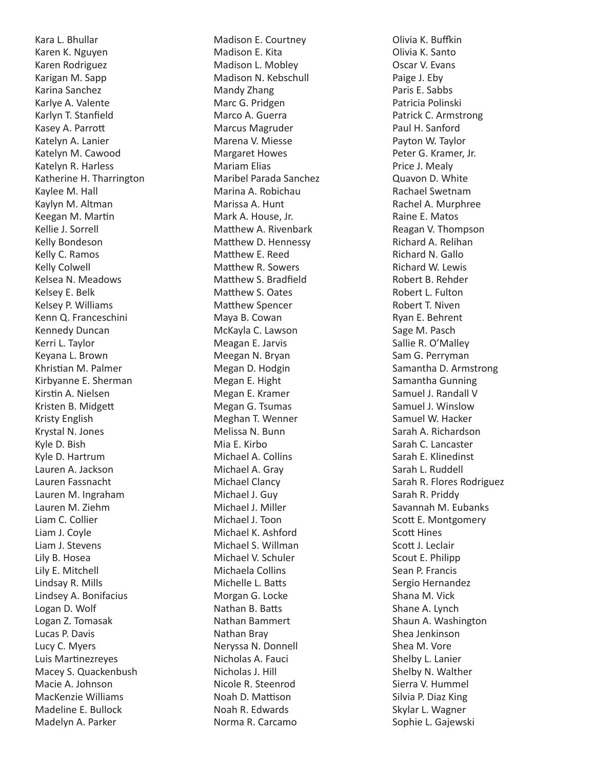Kara L. Bhullar Karen K. Nguyen Karen Rodriguez Karigan M. Sapp Karina Sanchez Karlye A. Valente Karlyn T. Stanfield Kasey A. Parrott Katelyn A. Lanier Katelyn M. Cawood Katelyn R. Harless Katherine H. Tharrington Kaylee M. Hall Kaylyn M. Altman Keegan M. Martin Kellie J. Sorrell Kelly Bondeson Kelly C. Ramos Kelly Colwell Kelsea N. Meadows Kelsey E. Belk Kelsey P. Williams Kenn Q. Franceschini Kennedy Duncan Kerri L. Taylor Keyana L. Brown Khristian M. Palmer Kirbyanne E. Sherman Kirstin A. Nielsen Kristen B. Midgett Kristy English Krystal N. Jones Kyle D. Bish Kyle D. Hartrum Lauren A. Jackson Lauren Fassnacht Lauren M. Ingraham Lauren M. Ziehm Liam C. Collier Liam J. Coyle Liam J. Stevens Lily B. Hosea Lily E. Mitchell Lindsay R. Mills Lindsey A. Bonifacius Logan D. Wolf Logan Z. Tomasak Lucas P. Davis Lucy C. Myers Luis Martinezreyes Macey S. Quackenbush Macie A. Johnson MacKenzie Williams Madeline E. Bullock Madelyn A. Parker

Madison E. Courtney Madison E. Kita Madison L. Mobley Madison N. Kebschull Mandy Zhang Marc G. Pridgen Marco A. Guerra Marcus Magruder Marena V. Miesse Margaret Howes Mariam Elias Maribel Parada Sanchez Marina A. Robichau Marissa A. Hunt Mark A. House, Jr. Matthew A. Rivenbark Matthew D. Hennessy Matthew E. Reed Matthew R. Sowers Matthew S. Bradfield Matthew S. Oates Matthew Spencer Maya B. Cowan McKayla C. Lawson Meagan E. Jarvis Meegan N. Bryan Megan D. Hodgin Megan E. Hight Megan E. Kramer Megan G. Tsumas Meghan T. Wenner Melissa N. Bunn Mia E. Kirbo Michael A. Collins Michael A. Gray Michael Clancy Michael J. Guy Michael J. Miller Michael J. Toon Michael K. Ashford Michael S. Willman Michael V. Schuler Michaela Collins Michelle L. Batts Morgan G. Locke Nathan B. Batts Nathan Bammert Nathan Bray Neryssa N. Donnell Nicholas A. Fauci Nicholas J. Hill Nicole R. Steenrod Noah D. Mattison Noah R. Edwards Norma R. Carcamo

Olivia K. Buffkin Olivia K. Santo Oscar V. Evans Paige J. Eby Paris E. Sabbs Patricia Polinski Patrick C. Armstrong Paul H. Sanford Payton W. Taylor Peter G. Kramer, Jr. Price J. Mealy Quavon D. White Rachael Swetnam Rachel A. Murphree Raine E. Matos Reagan V. Thompson Richard A. Relihan Richard N. Gallo Richard W. Lewis Robert B. Rehder Robert L. Fulton Robert T. Niven Ryan E. Behrent Sage M. Pasch Sallie R. O'Malley Sam G. Perryman Samantha D. Armstrong Samantha Gunning Samuel J. Randall V Samuel J. Winslow Samuel W. Hacker Sarah A. Richardson Sarah C. Lancaster Sarah E. Klinedinst Sarah L. Ruddell Sarah R. Flores Rodriguez Sarah R. Priddy Savannah M. Eubanks Scott E. Montgomery Scott Hines Scott J. Leclair Scout E. Philipp Sean P. Francis Sergio Hernandez Shana M. Vick Shane A. Lynch Shaun A. Washington Shea Jenkinson Shea M. Vore Shelby L. Lanier Shelby N. Walther Sierra V. Hummel Silvia P. Diaz King Skylar L. Wagner Sophie L. Gajewski